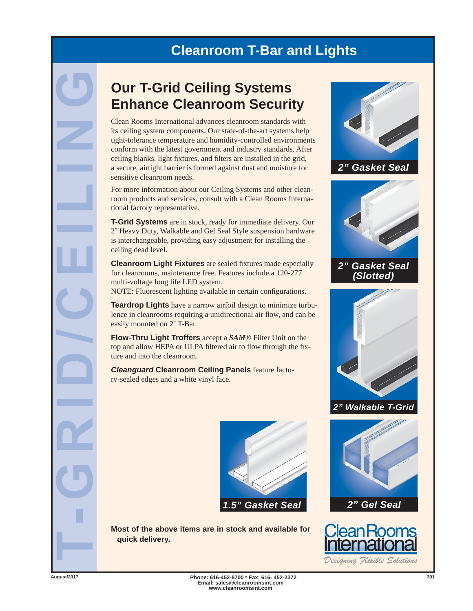## **Cleanroom T-Bar and Lights**

## **Our T-Grid Ceiling Systems Enhance Cleanroom Security**

Clean Rooms International advances cleanroom standards with its ceiling system components. Our state-of-the-art systems help tight-tolerance temperature and humidity-controlled environments conform with the latest government and industry standards. After ceiling blanks, light fixtures, and filters are installed in the grid, a secure, airtight barrier is formed against dust and moisture for sensitive cleanroom needs.

For more information about our Ceiling Systems and other cleanroom products and services, consult with a Clean Rooms International factory representative.

**T-Grid Systems** are in stock, ready for immediate delivery. Our 2˝ Heavy Duty, Walkable and Gel Seal Style suspension hardware is interchangeable, providing easy adjustment for installing the ceiling dead level.

**Cleanroom Light Fixtures** are sealed fixtures made especially for cleanrooms, maintenance free. Features include a 120-277 multi-voltage long life LED system.

NOTE: Fluorescent lighting available in certain configurations.

**Teardrop Lights** have a narrow airfoil design to minimize turbulence in cleanrooms requiring a unidirectional air flow, and can be easily mounted on 2˝ T-Bar.

**Flow-Thru Light Troffers** accept a *SAM*® Filter Unit on the top and allow HEPA or ULPA filtered air to flow through the fixture and into the cleanroom.

*Cleanguard* **Cleanroom Ceiling Panels** feature factory-sealed edges and a white vinyl face.



**Most of the above items are in stock and available for quick delivery.**



*2" Walkable T-Grid*





*Designing Flexible Solutions*